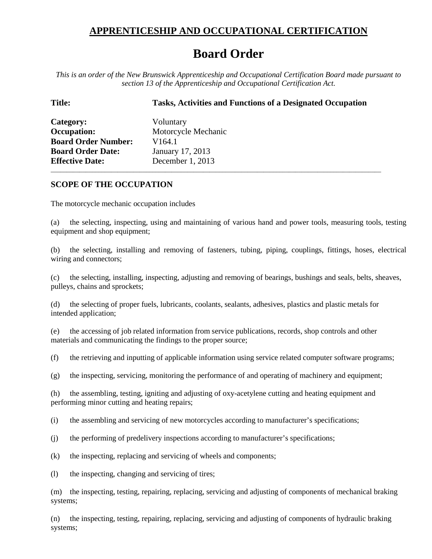## **APPRENTICESHIP AND OCCUPATIONAL CERTIFICATION**

## **Board Order**

*This is an order of the New Brunswick Apprenticeship and Occupational Certification Board made pursuant to section 13 of the Apprenticeship and Occupational Certification Act.*

| <b>Tasks, Activities and Functions of a Designated Occupation</b> |
|-------------------------------------------------------------------|
| Voluntary                                                         |
| Motorcycle Mechanic                                               |
| V <sub>164</sub> .1                                               |
| January 17, 2013                                                  |
| December 1, 2013                                                  |
|                                                                   |

## **SCOPE OF THE OCCUPATION**

The motorcycle mechanic occupation includes

(a) the selecting, inspecting, using and maintaining of various hand and power tools, measuring tools, testing equipment and shop equipment;

\_\_\_\_\_\_\_\_\_\_\_\_\_\_\_\_\_\_\_\_\_\_\_\_\_\_\_\_\_\_\_\_\_\_\_\_\_\_\_\_\_\_\_\_\_\_\_\_\_\_\_\_\_\_\_\_\_\_\_\_\_\_\_\_\_\_\_\_\_\_\_\_\_\_\_\_\_\_\_\_\_\_\_\_\_\_\_\_\_\_\_\_\_\_\_\_\_\_\_\_\_\_\_\_

(b) the selecting, installing and removing of fasteners, tubing, piping, couplings, fittings, hoses, electrical wiring and connectors;

(c) the selecting, installing, inspecting, adjusting and removing of bearings, bushings and seals, belts, sheaves, pulleys, chains and sprockets;

(d) the selecting of proper fuels, lubricants, coolants, sealants, adhesives, plastics and plastic metals for intended application;

(e) the accessing of job related information from service publications, records, shop controls and other materials and communicating the findings to the proper source;

(f) the retrieving and inputting of applicable information using service related computer software programs;

(g) the inspecting, servicing, monitoring the performance of and operating of machinery and equipment;

(h) the assembling, testing, igniting and adjusting of oxy-acetylene cutting and heating equipment and performing minor cutting and heating repairs;

(i) the assembling and servicing of new motorcycles according to manufacturer's specifications;

(j) the performing of predelivery inspections according to manufacturer's specifications;

(k) the inspecting, replacing and servicing of wheels and components;

(l) the inspecting, changing and servicing of tires;

(m) the inspecting, testing, repairing, replacing, servicing and adjusting of components of mechanical braking systems;

(n) the inspecting, testing, repairing, replacing, servicing and adjusting of components of hydraulic braking systems;